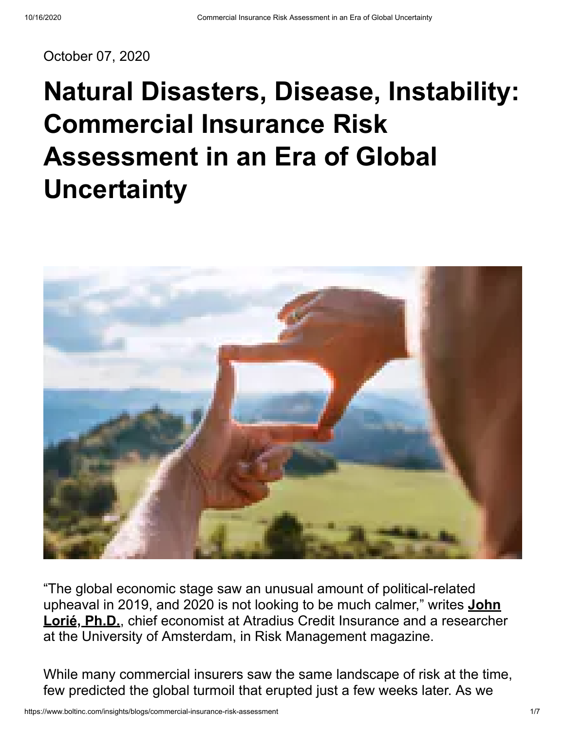October 07, 2020

# **Natural Disasters, Disease, Instability: Commercial Insurance Risk Assessment in an Era of Global Uncertainty**



"The global economic stage saw an unusual amount of political-related [upheaval in 2019, and 2020 is not looking to be much calmer," writes](http://www.rmmagazine.com/2020/01/06/uncertainty-clouds-2020-economic-risk-outlook/) **John Lorié, Ph.D.**, chief economist at Atradius Credit Insurance and a researcher at the University of Amsterdam, in Risk Management magazine.

While many commercial insurers saw the same landscape of risk at the time, few predicted the global turmoil that erupted just a few weeks later. As we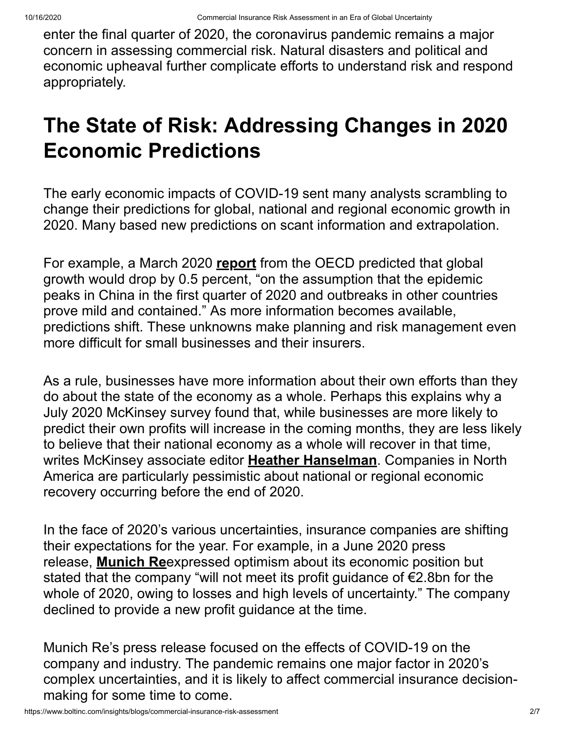enter the final quarter of 2020, the coronavirus pandemic remains a major concern in assessing commercial risk. Natural disasters and political and economic upheaval further complicate efforts to understand risk and respond appropriately.

## **The State of Risk: Addressing Changes in 2020 Economic Predictions**

The early economic impacts of COVID-19 sent many analysts scrambling to change their predictions for global, national and regional economic growth in 2020. Many based new predictions on scant information and extrapolation.

For example, a March 2020 **[report](https://www.oecd.org/berlin/publikationen/Interim-Economic-Assessment-2-March-2020.pdf)** from the OECD predicted that global growth would drop by 0.5 percent, "on the assumption that the epidemic peaks in China in the first quarter of 2020 and outbreaks in other countries prove mild and contained." As more information becomes available, predictions shift. These unknowns make planning and risk management even more difficult for small businesses and their insurers.

As a rule, businesses have more information about their own efforts than they do about the state of the economy as a whole. Perhaps this explains why a July 2020 McKinsey survey found that, while businesses are more likely to predict their own profits will increase in the coming months, they are less likely to believe that their national economy as a whole will recover in that time, writes McKinsey associate editor **[Heather Hanselman](https://www.mckinsey.com/business-functions/strategy-and-corporate-finance/our-insights/the-coronavirus-effect-on-global-economic-sentiment#)**. Companies in North America are particularly pessimistic about national or regional economic recovery occurring before the end of 2020.

In the face of 2020's various uncertainties, insurance companies are shifting their expectations for the year. For example, in a June 2020 press release, **[Munich Re](https://www.munichre.com/en/company/coronavirus-impact-on-munich-re.html)**expressed optimism about its economic position but stated that the company "will not meet its profit guidance of €2.8bn for the whole of 2020, owing to losses and high levels of uncertainty." The company declined to provide a new profit guidance at the time.

Munich Re's press release focused on the effects of COVID-19 on the company and industry. The pandemic remains one major factor in 2020's complex uncertainties, and it is likely to affect commercial insurance decisionmaking for some time to come.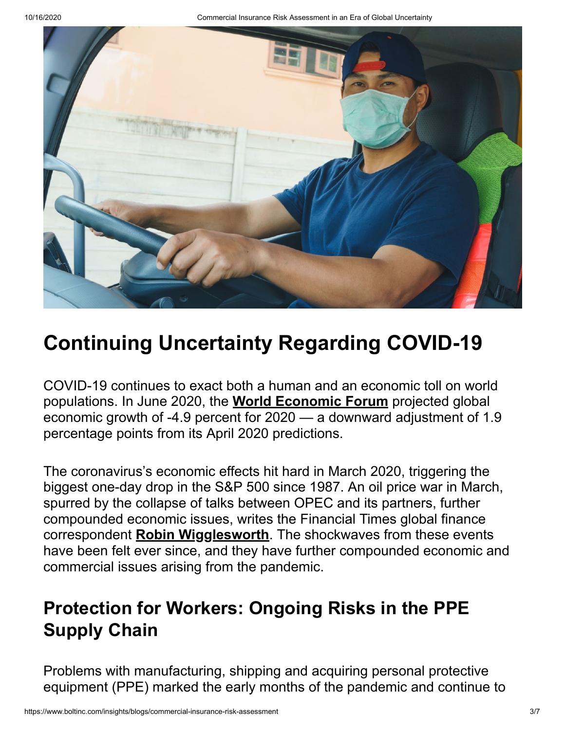10/16/2020 Commercial Insurance Risk Assessment in an Era of Global Uncertainty



### **Continuing Uncertainty Regarding COVID-19**

COVID-19 continues to exact both a human and an economic toll on world populations. In June 2020, the **[World Economic Forum](https://www.imf.org/en/Publications/WEO/Issues/2020/06/24/WEOUpdateJune2020)** projected global economic growth of -4.9 percent for 2020 — a downward adjustment of 1.9 percentage points from its April 2020 predictions.

The coronavirus's economic effects hit hard in March 2020, triggering the biggest one-day drop in the S&P 500 since 1987. An oil price war in March, spurred by the collapse of talks between OPEC and its partners, further compounded economic issues, writes the Financial Times global finance correspondent **[Robin Wigglesworth](https://www.ft.com/content/86f7f914-6536-11ea-b3f3-fe4680ea68b5)**. The shockwaves from these events have been felt ever since, and they have further compounded economic and commercial issues arising from the pandemic.

#### **Protection for Workers: Ongoing Risks in the PPE Supply Chain**

Problems with manufacturing, shipping and acquiring personal protective equipment (PPE) marked the early months of the pandemic and continue to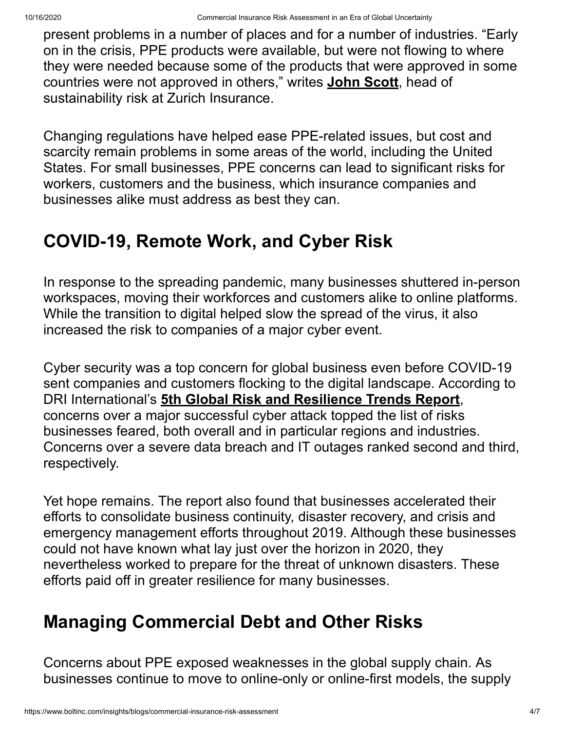present problems in a number of places and for a number of industries. "Early on in the crisis, PPE products were available, but were not flowing to where they were needed because some of the products that were approved in some countries were not approved in others," writes **[John Scott](https://www.zurich.com/en/knowledge/topics/global-risks/covid-19-the-interconnected-consequences)**, head of sustainability risk at Zurich Insurance.

Changing regulations have helped ease PPE-related issues, but cost and scarcity remain problems in some areas of the world, including the United States. For small businesses, PPE concerns can lead to significant risks for workers, customers and the business, which insurance companies and businesses alike must address as best they can.

#### **COVID-19, Remote Work, and Cyber Risk**

In response to the spreading pandemic, many businesses shuttered in-person workspaces, moving their workforces and customers alike to online platforms. While the transition to digital helped slow the spread of the virus, it also increased the risk to companies of a major cyber event.

Cyber security was a top concern for global business even before COVID-19 sent companies and customers flocking to the digital landscape. According to DRI International's **[5th Global Risk and Resilience Trends Report](https://drive.drii.org/2020/01/14/dris-global-risk-and-resilience-trends-report-the-top-8-resilience-trends/)**, concerns over a major successful cyber attack topped the list of risks businesses feared, both overall and in particular regions and industries. Concerns over a severe data breach and IT outages ranked second and third, respectively.

Yet hope remains. The report also found that businesses accelerated their efforts to consolidate business continuity, disaster recovery, and crisis and emergency management efforts throughout 2019. Although these businesses could not have known what lay just over the horizon in 2020, they nevertheless worked to prepare for the threat of unknown disasters. These efforts paid off in greater resilience for many businesses.

#### **Managing Commercial Debt and Other Risks**

Concerns about PPE exposed weaknesses in the global supply chain. As businesses continue to move to online-only or online-first models, the supply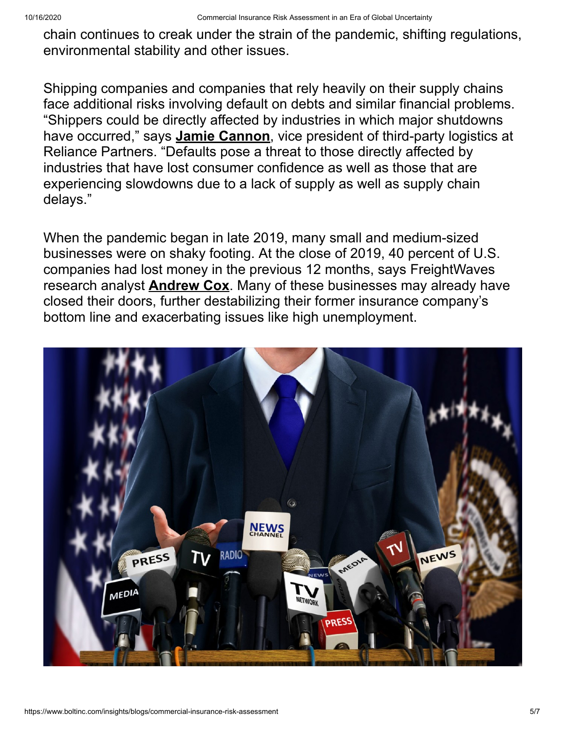chain continues to creak under the strain of the pandemic, shifting regulations, environmental stability and other issues.

Shipping companies and companies that rely heavily on their supply chains face additional risks involving default on debts and similar financial problems. "Shippers could be directly affected by industries in which major shutdowns have occurred," says **[Jamie Cannon](https://www.freightwaves.com/news/prioritize-mitigating-credit-risk-especially-during-economic-uncertainty)**, vice president of third-party logistics at Reliance Partners. "Defaults pose a threat to those directly affected by industries that have lost consumer confidence as well as those that are experiencing slowdowns due to a lack of supply as well as supply chain delays."

When the pandemic began in late 2019, many small and medium-sized businesses were on shaky footing. At the close of 2019, 40 percent of U.S. companies had lost money in the previous 12 months, says FreightWaves research analyst **[Andrew Cox](https://passport.freightwaves.com/research/transportation-liquidity-and-credit-analysis-in-a-covid19-driven-recession)**. Many of these businesses may already have closed their doors, further destabilizing their former insurance company's bottom line and exacerbating issues like high unemployment.

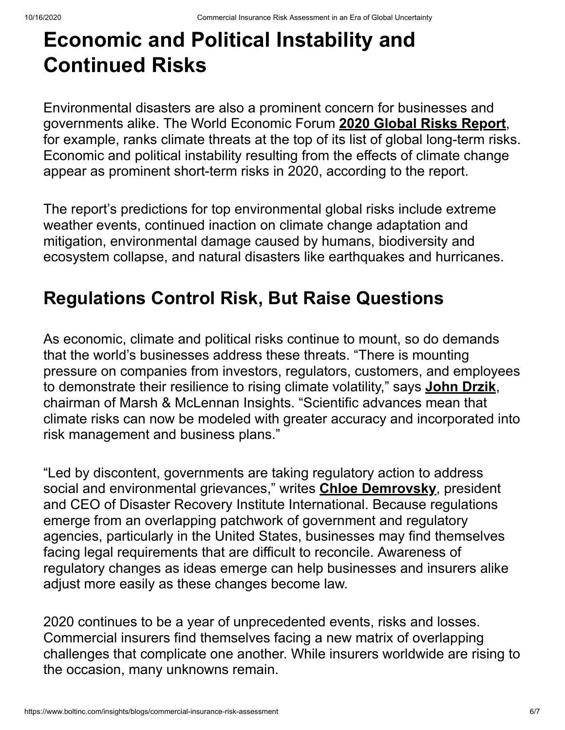# **Economic and Political Instability and Continued Risks**

Environmental disasters are also a prominent concern for businesses and governments alike. The World Economic Forum **[2020 Global Risks Report](https://www.weforum.org/reports/the-global-risks-report-2020)**, for example, ranks climate threats at the top of its list of global long-term risks. Economic and political instability resulting from the effects of climate change appear as prominent short-term risks in 2020, according to the report.

The report's predictions for top environmental global risks include extreme weather events, continued inaction on climate change adaptation and mitigation, environmental damage caused by humans, biodiversity and ecosystem collapse, and natural disasters like earthquakes and hurricanes.

#### **Regulations Control Risk, But Raise Questions**

As economic, climate and political risks continue to mount, so do demands that the world's businesses address these threats. "There is mounting pressure on companies from investors, regulators, customers, and employees to demonstrate their resilience to rising climate volatility," says **[John Drzik](https://www.weforum.org/press/2020/01/burning-planet-climate-fires-and-political-flame-wars-rage)**, chairman of Marsh & McLennan Insights. "Scientific advances mean that climate risks can now be modeled with greater accuracy and incorporated into risk management and business plans."

"Led by discontent, governments are taking regulatory action to address social and environmental grievances," writes **[Chloe Demrovsky](https://www.forbes.com/sites/chloedemrovsky/2020/01/15/watch-out-for-these-global-business-risks-in-2020/#789080dd3b6f)**, president and CEO of Disaster Recovery Institute International. Because regulations emerge from an overlapping patchwork of government and regulatory agencies, particularly in the United States, businesses may find themselves facing legal requirements that are difficult to reconcile. Awareness of regulatory changes as ideas emerge can help businesses and insurers alike adjust more easily as these changes become law.

2020 continues to be a year of unprecedented events, risks and losses. Commercial insurers find themselves facing a new matrix of overlapping challenges that complicate one another. While insurers worldwide are rising to the occasion, many unknowns remain.